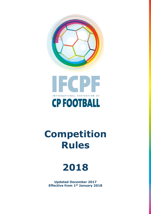



# **Competition Rules**



**Updated December 2017 Effective from 1st January 2018**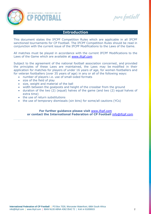

pare football

## **Introduction**

This document states the IFCPF Competition Rules which are applicable in all IFCPF sanctioned tournaments for CP Football. The IFCPF Competition Rules should be read in conjunction with the current issue of the IFCPF Modifications to the Laws of the Game.

All matches must be played in accordance with the current IFCPF Modifications to the Laws of the Game which are available at [www.ifcpf.com](http://www.ifcpf.com/)

Subject to the agreement of the national football association concerned, and provided the principles of these Laws are maintained, the Laws may be modified in their application for matches for players of under 16 years of age, for women footballers and for veteran footballers (over 35 years of age) in any or all of the following ways:

- number of players i.e. use of small-sided formats
- size of the field of play
- size, weight and material of the ball
- width between the goalposts and height of the crossbar from the ground
- duration of the two (2) (equal) halves of the game (and two (2) equal halves of extra time)
- the use of return substitutions
- the use of temporary dismissals (sin bins) for some/all cautions (YCs)

**For further guidance please visit** [www.ifcpf.com](http://www.ifcpf.com/) **or contact the International Federation of CP Football** [info@ifcpf.com](mailto:info@ifcpf.com)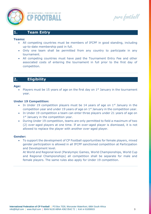

pure football

# **1. Team Entry**

#### **Teams:**

- All competing countries must be members of IFCPF in good standing, including up-to-date membership paid in full.
- Only one team shall be permitted from any country to participate in any tournament.
- All competing countries must have paid the Tournament Entry Fee and other associated costs of entering the tournament in full prior to the first day of competition.

# **2. Eligibility**

#### **Age:**

Players must be 15 years of age on the first day on  $1<sup>st</sup>$  January in the tournament year.

## **Under 19 Competition:**

- In Under 19 competition players must be 14 years of age on  $1<sup>st</sup>$  January in the competition year and under 19 years of age on  $1<sup>st</sup>$  January in the competition year.
- In Under 19 competition a team can enter three players under 21 years of age on 1<sup>st</sup> January in the competition year.
- During Under 19 competition, teams are only permitted to field a maximum of two (2) over-aged players at one time. If an over-aged player is dismissed, it is not allowed to replace the player with another over-aged player.

## **Gender:**

• To support the development of CP Football opportunities for female players, mixed gender participation is allowed in all IFCPF sanctioned competition at Participation and Development level.

At World and Regional level (Paralympic Games, World Championships, World Cup and Regional Championships) all competition shall be separate for male and female players. The same rules also apply for Under 19 competition.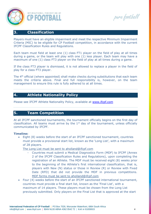

pure football

# **3. Classification**

Players must have an eligible impairment and meet the respective Minimum Impairment Criteria (MIC) to be eligible for CP Football competition, in accordance with the current IFCPF Classification Rules and Regulations.

Each team must field at least one (1) class FT1 player on the field of play at all times during a game, or the team will play with one (1) less player. Each team may have a maximum of one (1) class FT3 player on the field of play at all times during a game.

If the class FT3 player is dismissed, it is not allowed to replace a player in the field of play for a class FT3 player.

The 4<sup>th</sup> official (where appointed) shall make checks during substitutions that each team meets the criteria above. Final and full responsibility is, however, on the team management to ensure this rule is fully adhered to at all times.

# **4. Athlete Nationality Policy**

Please see IFCPF Athlete Nationality Policy, available at [www.ifcpf.com](http://www.ifcpf.com/)

## **5. Team Competition**

At all IFCPF sanctioned tournaments, the tournament officially begins on the first day of classification. All teams must arrive by the  $1<sup>st</sup>$  day of the tournament, unless officially communicated by IFCPF.

#### **Timeline:**

• Eight (8) weeks before the start of an IFCPF sanctioned tournament, countries must provide a provisional start list, known as the 'Long List', with a maximum of 28 players.

The Long List must be sent to aholland@ifcpf.com

- Countries must submit a Medical Diagnostics Form (MDF) to IFCPF (Annex 2 of the IFCPF Classification Rules and Regulations), upon completing the registration of an Athlete. The MDF must be received eight (8) weeks prior to the beginning of the Athlete's first international classification, that is, players with New (N) status or those in Review (R) or Review with Fixed Date (RFD) that did not provide the MDF in previous competitions. MDF forms must be sent to aholland@ifcpf.com
- Four (4) weeks before the start of an IFCPF sanctioned international tournament, countries must provide a final start list, known as the 'Final List', with a maximum of 14 players. These players must be chosen from the Long List previously submitted. Only players on the Final List that is approved at the start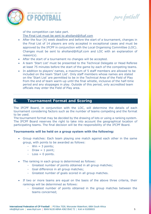

pure football

of the competition can take part.

The Final List must be sent to aholland@ifcpf.com

- After the four (4) week deadline and before the start of a tournament, changes in the Final List of 14 players are only accepted in exceptional cases and must be approved by the IFCPF in conjunction with the Local Organising Committee (LOC). Changes must be sent to aholland@ifcpf.com and LOC with an explanation of reason(s).
- After the start of a tournament no changes will be accepted.
- A team 'Start List' must be presented to the Technical Delegate or Head Referee at least 75 minutes before the start of the game by each of the competing teams.
- In addition to players' names, a maximum of 5 staff members are allowed to be included on the team 'Start List'. Only staff members whose names are stated on the 'Start List' are permitted to be in the Technical Area of the Field of Play from the end of team warm-up until the final whistle, inclusive of the half-time period and any stoppages in play. Outside of this period, only accredited team officials may enter the Field of Play area.

# **6. Tournament Format and Scoring**

The IFCPF Board, in conjunction with the LOC, will determine the details of each tournament considering factors such as the number of teams competing and the format to be used.

The tournament format may be decided by the drawing of lots or using a ranking system. The IFCPF Board reserves the right to take into account the geographical location of participating teams. The final decision will be the responsibility of the IFCPF Board.

## **Tournaments will be held on a group system with the following:**

- Group matches: Each team playing one match against each other in the same group, with points to be awarded as follows:
	- $-Win = 3 points$ :
	- $-$  Draw  $=$  1 point;
	- $-$  Loss  $= 0$  points.
- The ranking in each group is determined as follows:
	- Greatest number of points obtained in all group matches;
	- Goal difference in all group matches;
	- Greatest number of goals scored in all group matches.
- If two or more teams are equal on the basis of the above three criteria, their rankings will be determined as follows:
	- Greatest number of points obtained in the group matches between the teams concerned;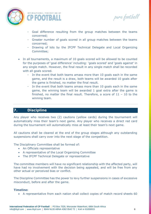

pare football

- Goal difference resulting from the group matches between the teams concerned;
- Greater number of goals scored in all group matches between the teams concerned;
- Drawing of lots by the IFCPF Technical Delegate and Local Organizing Committee;
- In all tournaments, a maximum of 10 goals scored will be allowed to be counted for the purposes of 'goal difference' including: 'goals scored' and 'goals against' in any single match. However, the final result in any single match shall be recorded with all goals scored.
	- In the event that both teams amass more than 10 goals each in the same game, and the result is a draw, both teams will be awarded 10 goals after the game is finished, no matter the final result.
	- In the event that both teams amass more than 10 goals each in the same game, the winning team will be awarded 1 goal extra after the game is finished, no matter the final result. Therefore, a score of  $11 - 10$  to the winning team.

# **7. Discipline**

Any player who receives two (2) cautions (yellow cards) during the tournament will automatically miss their team's next game. Any player who receives a direct red card during the tournament will automatically miss at least their team's next game.

All cautions shall be cleared at the end of the group stages although any outstanding suspensions shall carry over into the next stage of the competition.

The Disciplinary Committee shall be formed of:

- An Officials representative
- A representative of the Local Organizing Committee
- The IFCPF Technical Delegate or representative

The committee members will have no significant relationship with the affected party, will have had no involvement with the decision being appealed, and will be free from any other actual or perceived bias or conflict.

The Discipline Committee has the power to levy further suspensions in cases of excessive misconduct, before and after the game.

## **Timeline:**

• A representative from each nation shall collect copies of match record sheets 60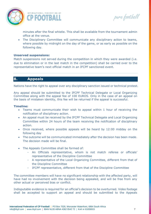

pare football

minutes after the final whistle. This shall be available from the tournament admin office at the venue.

• The Disciplinary Committee will communicate any disciplinary action to teams, where possible by midnight on the day of the game, or as early as possible on the following day.

## **Unserved suspensions:**

Match suspensions not served during the competition in which they were awarded (i.e. due to elimination or in the last match in the competition) shall be carried over to the representative team's next official match in an IFCPF sanctioned event.

# **8. Appeals**

Nations have the right to appeal over any disciplinary sanction issued or technical protest.

Any appeal should be submitted to the IFCPF Technical Delegate or Local Organizing Committee along with the appeal fee of 100 EUROS. Only in the case of an appeal on the basis of mistaken identity, this fee will be returned if the appeal is successful.

## **Timeline:**

- Teams must communicate their wish to appeal within 1 hour of receiving the notification of disciplinary action.
- An appeal must be received by the IFCPF Technical Delegate and Local Organizing Committee within 24 hours of the team receiving the notification of disciplinary action.
- Once received, where possible appeals will be heard by 12:00 midday on the following day
- The outcome will be communicated immediately after the decision has been made. The decision made will be final.
- The Appeals Committee shall be formed of:
	- An Officials representative, whom is not match referee or officials' representative of the Discipline Committee
	- A representative of the Local Organizing Committee, different from that of the Discipline Committee
	- IFCPF representative, different from that of the Discipline Committee

The committee members will have no significant relationship with the affected party, will have had no involvement with the decision being appealed, and will be free from any other actual or perceived bias or conflict.

Indisputable evidence is required for an official's decision to be overturned. Video footage shall be accepted to support an appeal and should be submitted to the Appeals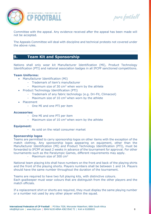

pure football

Committee with the appeal. Any evidence received after the appeal has been made will not be accepted.

The Appeals Committee will deal with discipline and technical protests not covered under the above rules.

# **9. Team Kit and Sponsorship**

Nations shall only wear kit Manufacturer Identification (MI), Product Technology Identification (PTI) and national association badges in all IFCPF sanctioned competitions.

## **Team Uniforms:**

- Manufacturer Identification (MI)
	- Trademark of item's manufacturer
	- Maximum size of 30  $\text{cm}^2$  when worn by the athlete
- Product Technology Identification (PTI)
	- Trademark of any fabric technology (e.g. Dri-Fit, Climacool)
	- Maximum size of 10  $\text{cm}^2$  when worn by the athlete
- Placement
	- One MI and one PTI per item

## **Accessories:**

- One MI and one PTI per item
- Maximum size of  $10 \text{ cm}^2$  when worn by the athlete

## **Equipment:**

- As sold on the retail consumer market

## **Sponsorship logos**

Teams are permitted to carry sponsorship logos on other items with the exception of the match clothing. Any sponsorship logos appearing on equipment, other than the Manufacturer Identification (MI) and Product Technology Identification (PTI), must be forwarded to IFCPF at least 2 weeks in advance of the tournament for approval. For other tournaments such as the Paralympic Games, different requirements may apply.

Maximum size of 300  $\text{cm}^2$ 

National team playing kits shall have numbers on the front and back of the playing shirts and the front of the playing shorts. Players numbers shall be between 1 and 14. Players should have the same number throughout the duration of the tournament.

Teams are required to have two full playing kits, with distinctive colours. Each goalkeeper must wear colours that are distinguish from the other players and the match officials.

If a replacement shirt or shorts are required, they must display the same playing number or a number not used by any other player within the squad.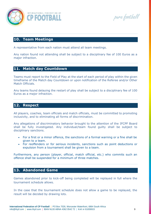

pure football

# **10. Team Meetings**

A representative from each nation must attend all team meetings.

Any nation found not attending shall be subject to a disciplinary fee of 100 Euros as a major infraction.

# **11. Match day Countdown**

Teams must report to the Field of Play at the start of each period of play within the given timeframe of the Match day Countdown or upon notification of the Referee and/or Other Match Officials.

Any teams found delaying the restart of play shall be subject to a disciplinary fee of 100 Euros as a major infraction.

## **12. Respect**

All players, coaches, team officials and match officials, must be committed to promoting inclusivity, and to eliminating all forms of discrimination.

Any allegations of discriminatory behavior brought to the attention of the IFCPF Board shall be fully investigated. Any individual/team found guilty shall be subject to disciplinary sanctions.

- For a first or a minor offence, the sanctions of a formal warning or a fine shall be given to a team.
- For reoffenders or for serious incidents, sanctions such as point deductions or expulsion from a tournament shall be given to a team.

Furthermore, any person (player, official, match official, etc.) who commits such an offence shall be suspended for a minimum of three matches.

# **13. Abandoned Game**

Games abandoned prior to kick-off being completed will be replayed in full where the tournament schedule allows.

In the case that the tournament schedule does not allow a game to be replayed, the result will be decided by drawing lots.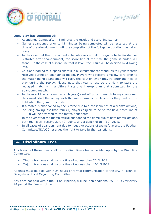

pure football

## **Once play has commenced:**

- Abandoned Games after 45 minutes the result and score line stands
- Games abandoned prior to 45 minutes being completed will be restarted at the time of the abandonment until the completion of the full game duration has taken place.
- In the case that the tournament schedule does not allow a game to be finished or restarted after abandonment, the score line at the time the game is ended will stand. In the case of a score line that is level, the result will be decided by drawing lots.
- Cautions leading to suspensions will in all circumstances stand, as will yellow cards received during an abandoned match. Players who receive a yellow card prior to the match being abandoned will carry this caution when they re-enter the field of play during the replay. Please note that teams reserve the right to start the replayed match with a different starting line-up than that submitted for the abandoned match.
- In the event that a team has a player(s) sent off prior to match being abandoned they must start the replay with the same number of players as they had on the field when the game was ended.
- If a match is abandoned by the referee due to a consequence of a team's actions, including having less than four (4) players eligible to be on the field, score line of 10 – 0 will be awarded to the match opponents.
- In the event that the match official abandoned the game due to both teams' actions, both teams will receive zero (0) points and a deficit of ten (10) goals.
- In all cases of abandonment due to negative actions of teams/players, the Football Committee/TD/LOC reserves the right to take further sanctions.

# **14. Disciplinary Fees**

Any breach of these rules shall incur a disciplinary fee as decided upon by the Discipline Committee.

- Minor infractions shall incur a fine of no less than 25 EUROS
- Major infractions shall incur a fine of no less than 100 EUROS

All fines must be paid within 24 hours of formal communication to the IFCPF Technical Delegate or Local Organizing Committee.

Any fines not paid within the 24 hour period, will incur an additional 25 EUROS for every 24 period the fine is not paid.